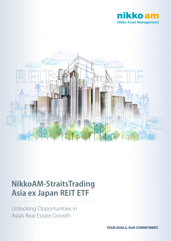



# **NikkoAM-StraitsTrading Asia ex Japan REIT ETF**

Unlocking Opportunities in Asia's Real Estate Growth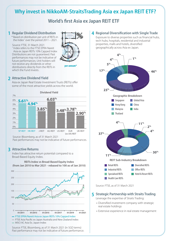# **Why invest in NikkoAM-StraitsTrading Asia ex Japan REIT ETF?**

**World's first Asia ex Japan REIT ETF** 

### **1** Regular Dividend Distribution **1**

\* Based on distribution per unit of REITs in the Index^ over the period 2011 – 2021.

#### Source: FTSE, 31 March 2021

^ Index refers to the FTSE EPRA Nareit Asia ex Japan REITs 10% Capped Index Distributions are not guaranteed. Past performances may not be indicative of future performances. Unit holders will not receive any dividends or other distributions directly from the REITs in which the Fund invests. .



### **2 Attractive Dividend Yield**

Asia ex Japan Real Estate Investment Trusts (REITs) offer some of the most attractive yields across the world.



Source: Bloomberg, as of 31 March 2021

Past performances may not be indicative of future performances.

**REITs Index vs Broad-Based Equity Index (from Jan 2010 to Mar 2021 - rebased to 100 as of Jan 2010)**

### **3 Attractive Returns**

Index has attractive return potential compared to a Broad-Based Equity Index.



Source: FTSE, Bloomberg, as of 31 March 2021 (in SGD terms) Past performance may not be indicative of future performance.

#### **4** Regional Diversification with Single Trade

Exposure to diverse properties such as financial hubs, tech hubs, hospitals, residential and industrial properties, malls and hotels, diversified geographically across Asia ex Japan.



Source: FTSE, as of 31 March 2021

### **5 Strategic Partnership with Straits Trading**

Leverage the expertise of Straits Trading:

- Diversified investment company with strategic real estate holdings
- Extensive experience in real estate management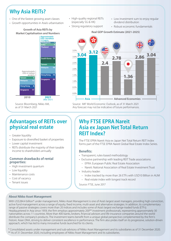# **Why Asia REITs?**

- One of the fastest growing asset classes
- Growth opportunities in Asia's urbanisation
	- **Growth of Asia REITs by**



Source: Bloomberg, Nikko AM, as of 31 March 2021

• High-quality regional REITs (especially SG & HK)

• Strong regulatory support

- Low investment sum to enjoy regular dividend distribution
- Robust economic fundamentals

#### **Market Capitalisation and Numbers Real GDP Growth Estimate (2021-2025)**



Source: IMF World Economic Outlook, as of 31 March 2021 Any forecast may not be indicative of future performances.

# **Advantages of REITs over physical real estate**

- Greater liquidity
- Exposure to diversified basket of properties
- Lower capital investment
- REITs distribute the majority of their taxable income to shareholders annually

#### **Common drawbacks of rental properties:**

- High investment quantum
- Low liquidity
- Maintenance costs
- Cost of vacancy
- Tenant issues

## **Why FTSE EPRA Nareit Asia ex Japan Net Total Return REIT Index?**

The FTSE EPRA Nareit Asia ex Japan Net Total Return REIT Index forms part of the FTSE EPRA Nareit Global Real Estate Index Series.

### **Benefits:**

- Transparent, rules-based methodology
- Exclusive partnership with leading REIT Trade associations:
	- EPRA: European Public Real Estate Association
	- Nareit: National Association of Real Estate Investment Trust
- Industry leader:
	- Index tracked by more than 26 ETFs with USD10 Billion in AUM
	- Real estate index with longest track record

Source: FTSE, June 2017

#### **About Nikko Asset Management**

With US\$284.4 billion\* under management, Nikko Asset Management is one of Asia's largest asset managers, providing high-conviction, active fund management across a range of equity, fixed income, multi-asset and alternative strategies. In addition, its complementary range of passive strategies covers more than 20 indices and includes some of Asia's largest exchange-traded funds (ETFs). Headquartered in Asia since 1959, the firm employs approximately 200<sup>\*\*</sup> investment professionals, representing approximately 30 nationalities across 11 countries. More than 400 banks, brokers, financial advisors and life insurance companies around the world distribute the company's products. The investment teams benefit from a unique global perspective complemented by the firm's historic Asian DNA, striving to deliver consistent excellence in performance. The firm also prides itself on its progressive, solution-driven approach, which has led to many innovative funds launched for its clients.

\* Consolidated assets under management and sub-advisory of Nikko Asset Management and its subsidiaries as of 31 December 2020. \*\* As of 31 December 2020, including employees of Nikko Asset Management and its subsidiaries.